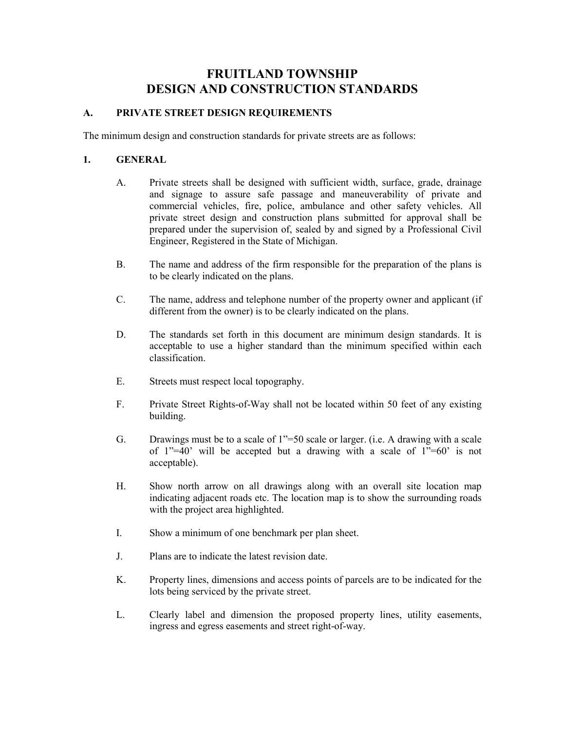# FRUITLAND TOWNSHIP DESIGN AND CONSTRUCTION STANDARDS

#### A. PRIVATE STREET DESIGN REQUIREMENTS

The minimum design and construction standards for private streets are as follows:

#### 1. GENERAL

- A. Private streets shall be designed with sufficient width, surface, grade, drainage and signage to assure safe passage and maneuverability of private and commercial vehicles, fire, police, ambulance and other safety vehicles. All private street design and construction plans submitted for approval shall be prepared under the supervision of, sealed by and signed by a Professional Civil Engineer, Registered in the State of Michigan.
- B. The name and address of the firm responsible for the preparation of the plans is to be clearly indicated on the plans.
- C. The name, address and telephone number of the property owner and applicant (if different from the owner) is to be clearly indicated on the plans.
- D. The standards set forth in this document are minimum design standards. It is acceptable to use a higher standard than the minimum specified within each classification.
- E. Streets must respect local topography.
- F. Private Street Rights-of-Way shall not be located within 50 feet of any existing building.
- G. Drawings must be to a scale of 1"=50 scale or larger. (i.e. A drawing with a scale of 1"=40' will be accepted but a drawing with a scale of  $1"=60'$  is not acceptable).
- H. Show north arrow on all drawings along with an overall site location map indicating adjacent roads etc. The location map is to show the surrounding roads with the project area highlighted.
- I. Show a minimum of one benchmark per plan sheet.
- J. Plans are to indicate the latest revision date.
- K. Property lines, dimensions and access points of parcels are to be indicated for the lots being serviced by the private street.
- L. Clearly label and dimension the proposed property lines, utility easements, ingress and egress easements and street right-of-way.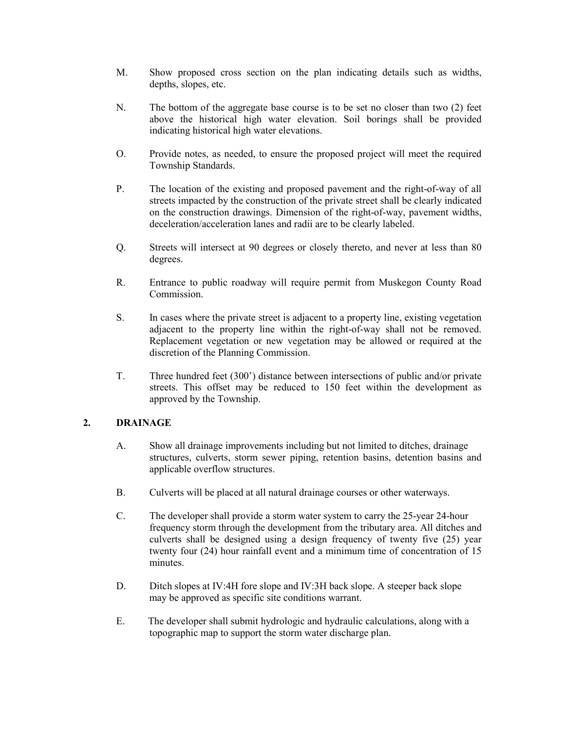- M. Show proposed cross section on the plan indicating details such as widths, depths, slopes, etc.
- N. The bottom of the aggregate base course is to be set no closer than two (2) feet above the historical high water elevation. Soil borings shall be provided indicating historical high water elevations.
- O. Provide notes, as needed, to ensure the proposed project will meet the required Township Standards.
- P. The location of the existing and proposed pavement and the right-of-way of all streets impacted by the construction of the private street shall be clearly indicated on the construction drawings. Dimension of the right-of-way, pavement widths, deceleration/acceleration lanes and radii are to be clearly labeled.
- Q. Streets will intersect at 90 degrees or closely thereto, and never at less than 80 degrees.
- R. Entrance to public roadway will require permit from Muskegon County Road Commission.
- S. In cases where the private street is adjacent to a property line, existing vegetation adjacent to the property line within the right-of-way shall not be removed. Replacement vegetation or new vegetation may be allowed or required at the discretion of the Planning Commission.
- T. Three hundred feet (300') distance between intersections of public and/or private streets. This offset may be reduced to 150 feet within the development as approved by the Township.

## 2. DRAINAGE

- A. Show all drainage improvements including but not limited to ditches, drainage structures, culverts, storm sewer piping, retention basins, detention basins and applicable overflow structures.
- B. Culverts will be placed at all natural drainage courses or other waterways.
- C. The developer shall provide a storm water system to carry the 25-year 24-hour frequency storm through the development from the tributary area. All ditches and culverts shall be designed using a design frequency of twenty five (25) year twenty four (24) hour rainfall event and a minimum time of concentration of 15 minutes.
- D. Ditch slopes at IV:4H fore slope and IV:3H back slope. A steeper back slope may be approved as specific site conditions warrant.
- E. The developer shall submit hydrologic and hydraulic calculations, along with a topographic map to support the storm water discharge plan.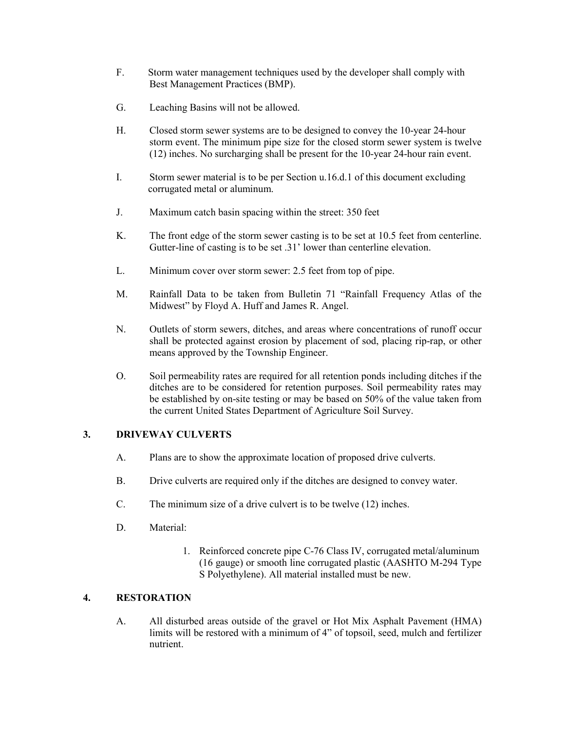- F. Storm water management techniques used by the developer shall comply with Best Management Practices (BMP).
- G. Leaching Basins will not be allowed.
- H. Closed storm sewer systems are to be designed to convey the 10-year 24-hour storm event. The minimum pipe size for the closed storm sewer system is twelve (12) inches. No surcharging shall be present for the 10-year 24-hour rain event.
- I. Storm sewer material is to be per Section u.16.d.1 of this document excluding corrugated metal or aluminum.
- J. Maximum catch basin spacing within the street: 350 feet
- K. The front edge of the storm sewer casting is to be set at 10.5 feet from centerline. Gutter-line of casting is to be set .31' lower than centerline elevation.
- L. Minimum cover over storm sewer: 2.5 feet from top of pipe.
- M. Rainfall Data to be taken from Bulletin 71 "Rainfall Frequency Atlas of the Midwest" by Floyd A. Huff and James R. Angel.
- N. Outlets of storm sewers, ditches, and areas where concentrations of runoff occur shall be protected against erosion by placement of sod, placing rip-rap, or other means approved by the Township Engineer.
- O. Soil permeability rates are required for all retention ponds including ditches if the ditches are to be considered for retention purposes. Soil permeability rates may be established by on-site testing or may be based on 50% of the value taken from the current United States Department of Agriculture Soil Survey.

# 3. DRIVEWAY CULVERTS

- A. Plans are to show the approximate location of proposed drive culverts.
- B. Drive culverts are required only if the ditches are designed to convey water.
- C. The minimum size of a drive culvert is to be twelve (12) inches.
- D. Material:
	- 1. Reinforced concrete pipe C-76 Class IV, corrugated metal/aluminum (16 gauge) or smooth line corrugated plastic (AASHTO M-294 Type S Polyethylene). All material installed must be new.

#### 4. RESTORATION

A. All disturbed areas outside of the gravel or Hot Mix Asphalt Pavement (HMA) limits will be restored with a minimum of 4" of topsoil, seed, mulch and fertilizer nutrient.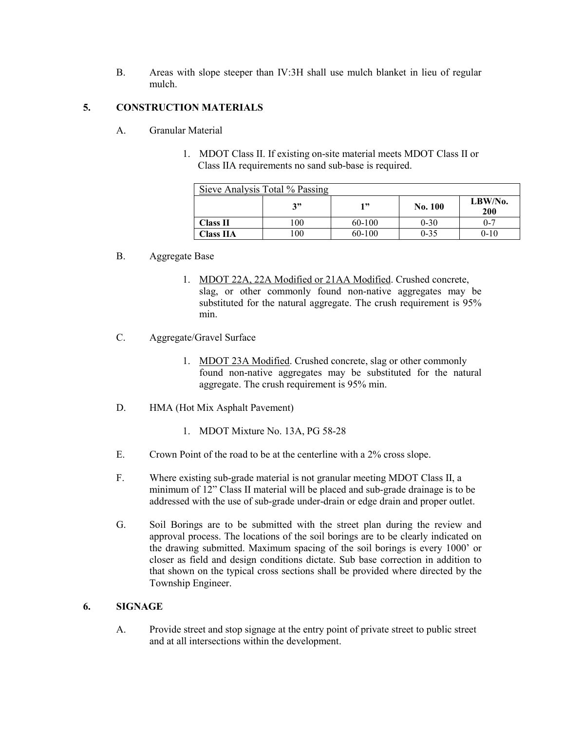B. Areas with slope steeper than IV:3H shall use mulch blanket in lieu of regular mulch.

# 5. CONSTRUCTION MATERIALS

- A. Granular Material
	- 1. MDOT Class II. If existing on-site material meets MDOT Class II or Class IIA requirements no sand sub-base is required.

| Sieve Analysis Total % Passing |      |        |          |                   |
|--------------------------------|------|--------|----------|-------------------|
|                                | 2"   | 1"     | No. 100  | $LBW/N0$ .<br>200 |
| <b>Class II</b>                | l 00 | 60-100 | $0 - 30$ | $0 - 7$           |
| <b>Class IIA</b>               | 100  | 60-100 | $0 - 35$ | $0-10$            |

## B. Aggregate Base

- 1. MDOT 22A, 22A Modified or 21AA Modified. Crushed concrete, slag, or other commonly found non-native aggregates may be substituted for the natural aggregate. The crush requirement is 95% min.
- C. Aggregate/Gravel Surface
	- 1. MDOT 23A Modified. Crushed concrete, slag or other commonly found non-native aggregates may be substituted for the natural aggregate. The crush requirement is 95% min.
- D. HMA (Hot Mix Asphalt Pavement)
	- 1. MDOT Mixture No. 13A, PG 58-28
- E. Crown Point of the road to be at the centerline with a 2% cross slope.
- F. Where existing sub-grade material is not granular meeting MDOT Class II, a minimum of 12" Class II material will be placed and sub-grade drainage is to be addressed with the use of sub-grade under-drain or edge drain and proper outlet.
- G. Soil Borings are to be submitted with the street plan during the review and approval process. The locations of the soil borings are to be clearly indicated on the drawing submitted. Maximum spacing of the soil borings is every 1000' or closer as field and design conditions dictate. Sub base correction in addition to that shown on the typical cross sections shall be provided where directed by the Township Engineer.

## 6. SIGNAGE

A. Provide street and stop signage at the entry point of private street to public street and at all intersections within the development.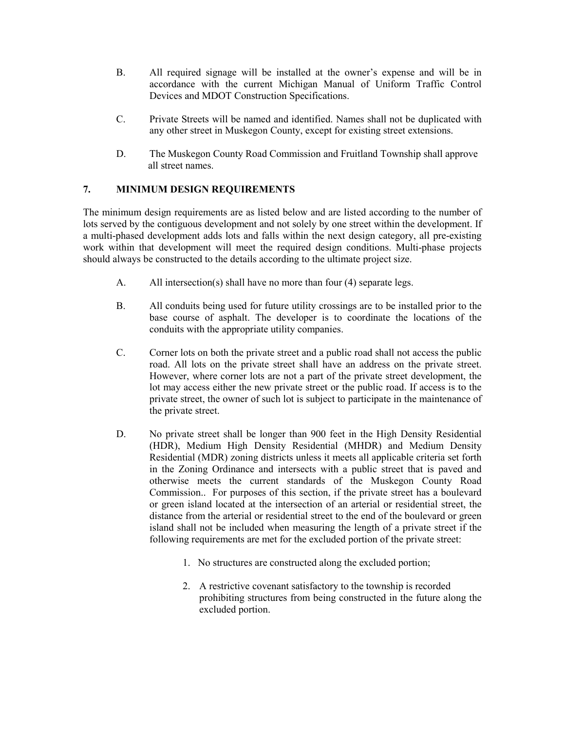- B. All required signage will be installed at the owner's expense and will be in accordance with the current Michigan Manual of Uniform Traffic Control Devices and MDOT Construction Specifications.
- C. Private Streets will be named and identified. Names shall not be duplicated with any other street in Muskegon County, except for existing street extensions.
- D. The Muskegon County Road Commission and Fruitland Township shall approve all street names.

# 7. MINIMUM DESIGN REQUIREMENTS

The minimum design requirements are as listed below and are listed according to the number of lots served by the contiguous development and not solely by one street within the development. If a multi-phased development adds lots and falls within the next design category, all pre-existing work within that development will meet the required design conditions. Multi-phase projects should always be constructed to the details according to the ultimate project size.

- A. All intersection(s) shall have no more than four (4) separate legs.
- B. All conduits being used for future utility crossings are to be installed prior to the base course of asphalt. The developer is to coordinate the locations of the conduits with the appropriate utility companies.
- C. Corner lots on both the private street and a public road shall not access the public road. All lots on the private street shall have an address on the private street. However, where corner lots are not a part of the private street development, the lot may access either the new private street or the public road. If access is to the private street, the owner of such lot is subject to participate in the maintenance of the private street.
- D. No private street shall be longer than 900 feet in the High Density Residential (HDR), Medium High Density Residential (MHDR) and Medium Density Residential (MDR) zoning districts unless it meets all applicable criteria set forth in the Zoning Ordinance and intersects with a public street that is paved and otherwise meets the current standards of the Muskegon County Road Commission.. For purposes of this section, if the private street has a boulevard or green island located at the intersection of an arterial or residential street, the distance from the arterial or residential street to the end of the boulevard or green island shall not be included when measuring the length of a private street if the following requirements are met for the excluded portion of the private street:
	- 1. No structures are constructed along the excluded portion;
	- 2. A restrictive covenant satisfactory to the township is recorded prohibiting structures from being constructed in the future along the excluded portion.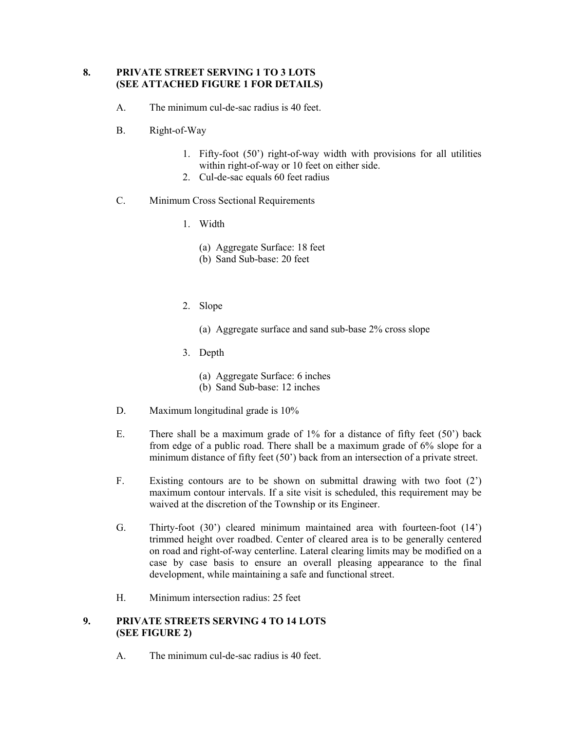## 8. PRIVATE STREET SERVING 1 TO 3 LOTS (SEE ATTACHED FIGURE 1 FOR DETAILS)

- A. The minimum cul-de-sac radius is 40 feet.
- B. Right-of-Way
	- 1. Fifty-foot (50') right-of-way width with provisions for all utilities within right-of-way or 10 feet on either side.
	- 2. Cul-de-sac equals 60 feet radius
- C. Minimum Cross Sectional Requirements
	- 1. Width
		- (a) Aggregate Surface: 18 feet
		- (b) Sand Sub-base: 20 feet
	- 2. Slope
		- (a) Aggregate surface and sand sub-base 2% cross slope
	- 3. Depth
		- (a) Aggregate Surface: 6 inches
		- (b) Sand Sub-base: 12 inches
- D. Maximum longitudinal grade is  $10\%$
- E. There shall be a maximum grade of 1% for a distance of fifty feet (50') back from edge of a public road. There shall be a maximum grade of 6% slope for a minimum distance of fifty feet (50') back from an intersection of a private street.
- F. Existing contours are to be shown on submittal drawing with two foot (2') maximum contour intervals. If a site visit is scheduled, this requirement may be waived at the discretion of the Township or its Engineer.
- G. Thirty-foot (30') cleared minimum maintained area with fourteen-foot (14') trimmed height over roadbed. Center of cleared area is to be generally centered on road and right-of-way centerline. Lateral clearing limits may be modified on a case by case basis to ensure an overall pleasing appearance to the final development, while maintaining a safe and functional street.
- H. Minimum intersection radius: 25 feet

#### 9. PRIVATE STREETS SERVING 4 TO 14 LOTS (SEE FIGURE 2)

A. The minimum cul-de-sac radius is 40 feet.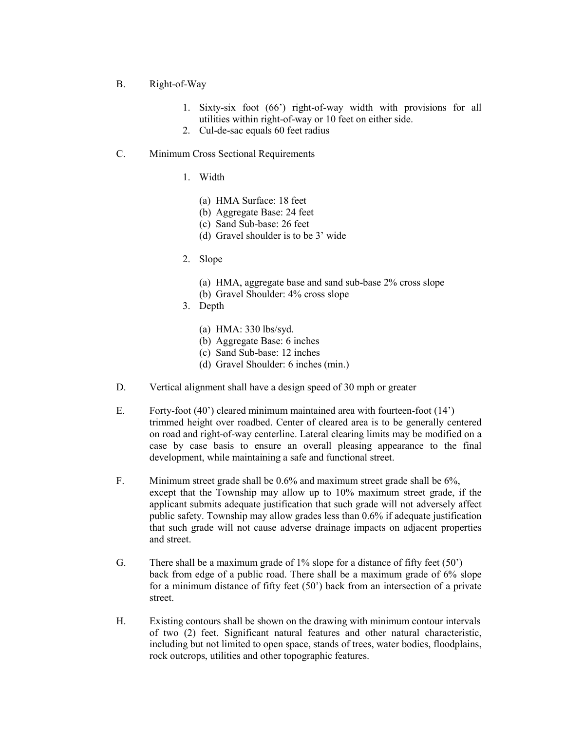- B. Right-of-Way
	- 1. Sixty-six foot (66') right-of-way width with provisions for all utilities within right-of-way or 10 feet on either side.
	- 2. Cul-de-sac equals 60 feet radius

#### C. Minimum Cross Sectional Requirements

- 1. Width
	- (a) HMA Surface: 18 feet
	- (b) Aggregate Base: 24 feet
	- (c) Sand Sub-base: 26 feet
	- (d) Gravel shoulder is to be 3' wide
- 2. Slope
	- (a) HMA, aggregate base and sand sub-base 2% cross slope
	- (b) Gravel Shoulder: 4% cross slope
- 3. Depth
	- (a) HMA: 330 lbs/syd.
	- (b) Aggregate Base: 6 inches
	- (c) Sand Sub-base: 12 inches
	- (d) Gravel Shoulder: 6 inches (min.)
- D. Vertical alignment shall have a design speed of 30 mph or greater
- E. Forty-foot (40') cleared minimum maintained area with fourteen-foot (14') trimmed height over roadbed. Center of cleared area is to be generally centered on road and right-of-way centerline. Lateral clearing limits may be modified on a case by case basis to ensure an overall pleasing appearance to the final development, while maintaining a safe and functional street.
- F. Minimum street grade shall be 0.6% and maximum street grade shall be 6%, except that the Township may allow up to 10% maximum street grade, if the applicant submits adequate justification that such grade will not adversely affect public safety. Township may allow grades less than 0.6% if adequate justification that such grade will not cause adverse drainage impacts on adjacent properties and street.
- G. There shall be a maximum grade of 1% slope for a distance of fifty feet (50') back from edge of a public road. There shall be a maximum grade of 6% slope for a minimum distance of fifty feet (50') back from an intersection of a private street.
- H. Existing contours shall be shown on the drawing with minimum contour intervals of two (2) feet. Significant natural features and other natural characteristic, including but not limited to open space, stands of trees, water bodies, floodplains, rock outcrops, utilities and other topographic features.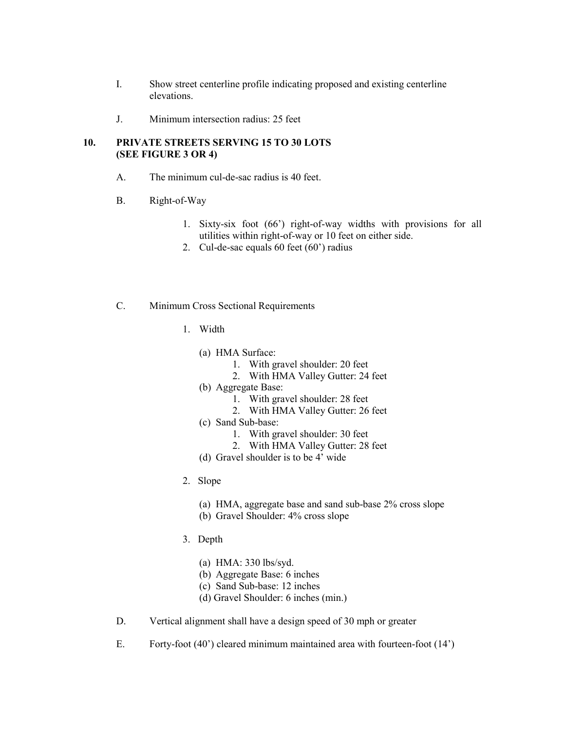- I. Show street centerline profile indicating proposed and existing centerline elevations.
- J. Minimum intersection radius: 25 feet

## 10. PRIVATE STREETS SERVING 15 TO 30 LOTS (SEE FIGURE 3 OR 4)

- A. The minimum cul-de-sac radius is 40 feet.
- B. Right-of-Way
	- 1. Sixty-six foot (66') right-of-way widths with provisions for all utilities within right-of-way or 10 feet on either side.
	- 2. Cul-de-sac equals 60 feet (60') radius

#### C. Minimum Cross Sectional Requirements

- 1. Width
	- (a) HMA Surface:
		- 1. With gravel shoulder: 20 feet
		- 2. With HMA Valley Gutter: 24 feet
	- (b) Aggregate Base:
		- 1. With gravel shoulder: 28 feet
		- 2. With HMA Valley Gutter: 26 feet
	- (c) Sand Sub-base:
		- 1. With gravel shoulder: 30 feet
		- 2. With HMA Valley Gutter: 28 feet
	- (d) Gravel shoulder is to be 4' wide
- 2. Slope
	- (a) HMA, aggregate base and sand sub-base 2% cross slope
	- (b) Gravel Shoulder: 4% cross slope
- 3. Depth
	- (a) HMA: 330 lbs/syd.
	- (b) Aggregate Base: 6 inches
	- (c) Sand Sub-base: 12 inches
	- (d) Gravel Shoulder: 6 inches (min.)
- D. Vertical alignment shall have a design speed of 30 mph or greater
- E. Forty-foot (40') cleared minimum maintained area with fourteen-foot (14')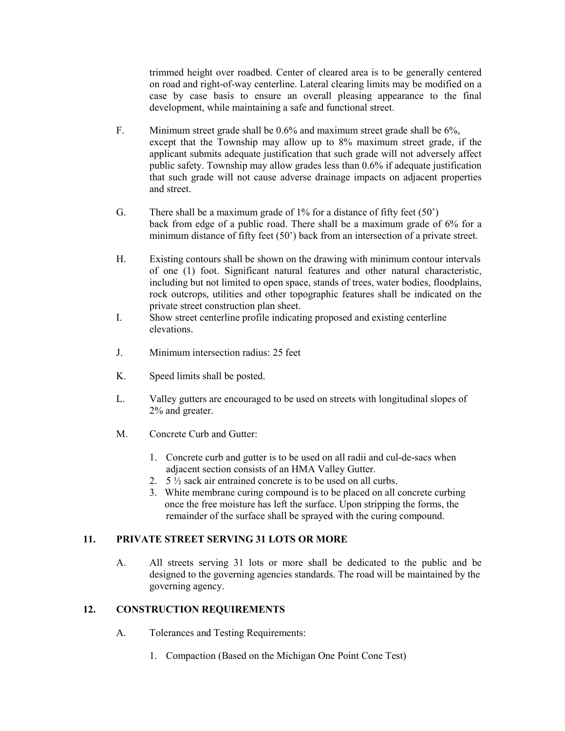trimmed height over roadbed. Center of cleared area is to be generally centered on road and right-of-way centerline. Lateral clearing limits may be modified on a case by case basis to ensure an overall pleasing appearance to the final development, while maintaining a safe and functional street.

- F. Minimum street grade shall be 0.6% and maximum street grade shall be 6%, except that the Township may allow up to 8% maximum street grade, if the applicant submits adequate justification that such grade will not adversely affect public safety. Township may allow grades less than 0.6% if adequate justification that such grade will not cause adverse drainage impacts on adjacent properties and street.
- G. There shall be a maximum grade of 1% for a distance of fifty feet (50') back from edge of a public road. There shall be a maximum grade of 6% for a minimum distance of fifty feet (50') back from an intersection of a private street.
- H. Existing contours shall be shown on the drawing with minimum contour intervals of one (1) foot. Significant natural features and other natural characteristic, including but not limited to open space, stands of trees, water bodies, floodplains, rock outcrops, utilities and other topographic features shall be indicated on the private street construction plan sheet.
- I. Show street centerline profile indicating proposed and existing centerline elevations.
- J. Minimum intersection radius: 25 feet
- K. Speed limits shall be posted.
- L. Valley gutters are encouraged to be used on streets with longitudinal slopes of 2% and greater.
- M. Concrete Curb and Gutter:
	- 1. Concrete curb and gutter is to be used on all radii and cul-de-sacs when adjacent section consists of an HMA Valley Gutter.
	- 2. 5 ½ sack air entrained concrete is to be used on all curbs.
	- 3. White membrane curing compound is to be placed on all concrete curbing once the free moisture has left the surface. Upon stripping the forms, the remainder of the surface shall be sprayed with the curing compound.

# 11. PRIVATE STREET SERVING 31 LOTS OR MORE

A. All streets serving 31 lots or more shall be dedicated to the public and be designed to the governing agencies standards. The road will be maintained by the governing agency.

# 12. CONSTRUCTION REQUIREMENTS

- A. Tolerances and Testing Requirements:
	- 1. Compaction (Based on the Michigan One Point Cone Test)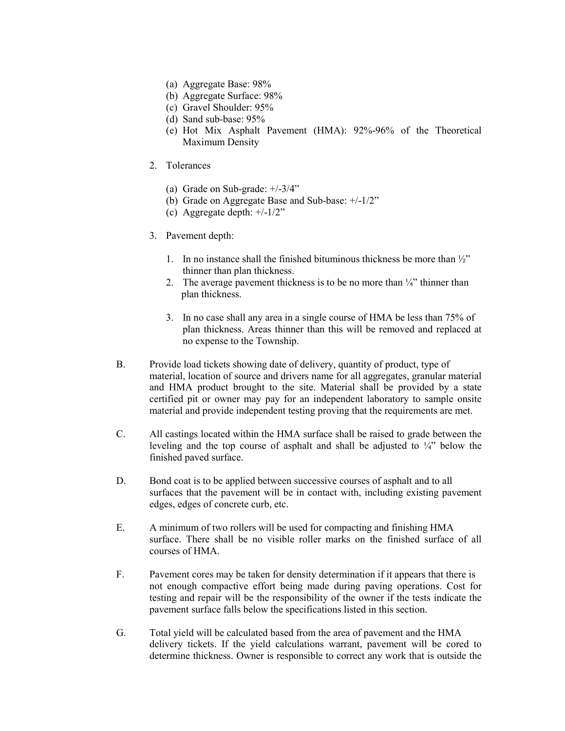- (a) Aggregate Base: 98%
- (b) Aggregate Surface: 98%
- (c) Gravel Shoulder: 95%
- (d) Sand sub-base: 95%
- (e) Hot Mix Asphalt Pavement (HMA): 92%-96% of the Theoretical Maximum Density
- 2. Tolerances
	- (a) Grade on Sub-grade: +/-3/4"
	- (b) Grade on Aggregate Base and Sub-base: +/-1/2"
	- (c) Aggregate depth: +/-1/2"
- 3. Pavement depth:
	- 1. In no instance shall the finished bituminous thickness be more than  $\frac{1}{2}$ " thinner than plan thickness.
	- 2. The average pavement thickness is to be no more than  $\frac{1}{4}$  thinner than plan thickness.
	- 3. In no case shall any area in a single course of HMA be less than 75% of plan thickness. Areas thinner than this will be removed and replaced at no expense to the Township.
- B. Provide load tickets showing date of delivery, quantity of product, type of material, location of source and drivers name for all aggregates, granular material and HMA product brought to the site. Material shall be provided by a state certified pit or owner may pay for an independent laboratory to sample onsite material and provide independent testing proving that the requirements are met.
- C. All castings located within the HMA surface shall be raised to grade between the leveling and the top course of asphalt and shall be adjusted to  $\frac{1}{4}$  below the finished paved surface.
- D. Bond coat is to be applied between successive courses of asphalt and to all surfaces that the pavement will be in contact with, including existing pavement edges, edges of concrete curb, etc.
- E. A minimum of two rollers will be used for compacting and finishing HMA surface. There shall be no visible roller marks on the finished surface of all courses of HMA.
- F. Pavement cores may be taken for density determination if it appears that there is not enough compactive effort being made during paving operations. Cost for testing and repair will be the responsibility of the owner if the tests indicate the pavement surface falls below the specifications listed in this section.
- G. Total yield will be calculated based from the area of pavement and the HMA delivery tickets. If the yield calculations warrant, pavement will be cored to determine thickness. Owner is responsible to correct any work that is outside the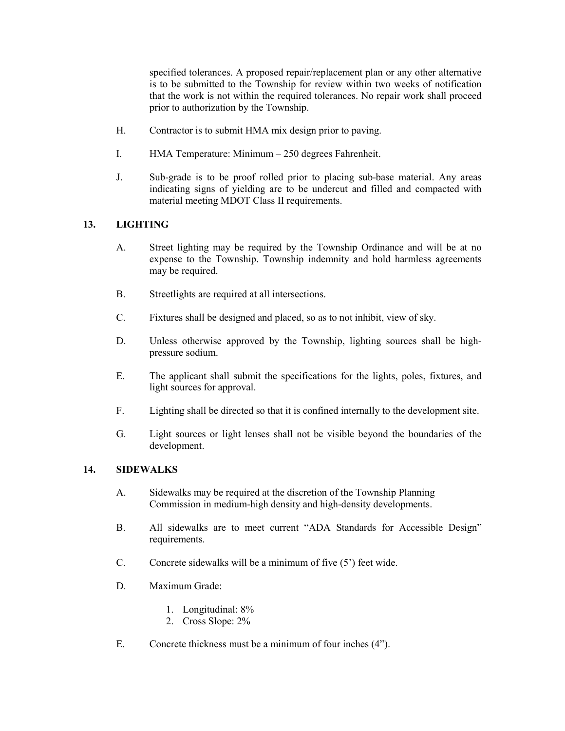specified tolerances. A proposed repair/replacement plan or any other alternative is to be submitted to the Township for review within two weeks of notification that the work is not within the required tolerances. No repair work shall proceed prior to authorization by the Township.

- H. Contractor is to submit HMA mix design prior to paving.
- I. HMA Temperature: Minimum 250 degrees Fahrenheit.
- J. Sub-grade is to be proof rolled prior to placing sub-base material. Any areas indicating signs of yielding are to be undercut and filled and compacted with material meeting MDOT Class II requirements.

## 13. LIGHTING

- A. Street lighting may be required by the Township Ordinance and will be at no expense to the Township. Township indemnity and hold harmless agreements may be required.
- B. Streetlights are required at all intersections.
- C. Fixtures shall be designed and placed, so as to not inhibit, view of sky.
- D. Unless otherwise approved by the Township, lighting sources shall be highpressure sodium.
- E. The applicant shall submit the specifications for the lights, poles, fixtures, and light sources for approval.
- F. Lighting shall be directed so that it is confined internally to the development site.
- G. Light sources or light lenses shall not be visible beyond the boundaries of the development.

## 14. SIDEWALKS

- A. Sidewalks may be required at the discretion of the Township Planning Commission in medium-high density and high-density developments.
- B. All sidewalks are to meet current "ADA Standards for Accessible Design" requirements.
- C. Concrete sidewalks will be a minimum of five (5') feet wide.
- D. Maximum Grade:
	- 1. Longitudinal: 8%
	- 2. Cross Slope: 2%
- E. Concrete thickness must be a minimum of four inches (4").